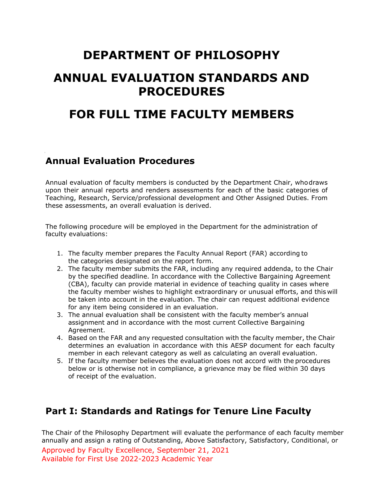# **DEPARTMENT OF PHILOSOPHY**

# **ANNUAL EVALUATION STANDARDS AND PROCEDURES**

# **FOR FULL TIME FACULTY MEMBERS**

## **Annual Evaluation Procedures**

Annual evaluation of faculty members is conducted by the Department Chair, whodraws upon their annual reports and renders assessments for each of the basic categories of Teaching, Research, Service/professional development and Other Assigned Duties. From these assessments, an overall evaluation is derived.

The following procedure will be employed in the Department for the administration of faculty evaluations:

- 1. The faculty member prepares the Faculty Annual Report (FAR) according to the categories designated on the report form.
- 2. The faculty member submits the FAR, including any required addenda, to the Chair by the specified deadline. In accordance with the Collective Bargaining Agreement (CBA), faculty can provide material in evidence of teaching quality in cases where the faculty member wishes to highlight extraordinary or unusual efforts, and this will be taken into account in the evaluation. The chair can request additional evidence for any item being considered in an evaluation.
- 3. The annual evaluation shall be consistent with the faculty member's annual assignment and in accordance with the most current Collective Bargaining Agreement.
- 4. Based on the FAR and any requested consultation with the faculty member, the Chair determines an evaluation in accordance with this AESP document for each faculty member in each relevant category as well as calculating an overall evaluation.
- 5. If the faculty member believes the evaluation does not accord with the procedures below or is otherwise not in compliance, a grievance may be filed within 30 days of receipt of the evaluation.

## **Part I: Standards and Ratings for Tenure Line Faculty**

The Chair of the Philosophy Department will evaluate the performance of each faculty member annually and assign a rating of Outstanding, Above Satisfactory, Satisfactory, Conditional, or

Approved by Faculty Excellence, September 21, 2021 Available for First Use 2022-2023 Academic Year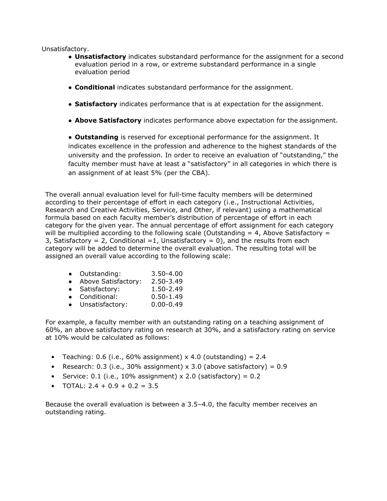Unsatisfactory.

- **Unsatisfactory** indicates substandard performance for the assignment for a second evaluation period in a row, or extreme substandard performance in a single evaluation period
- **Conditional** indicates substandard performance for the assignment.
- **Satisfactory** indicates performance that is at expectation for the assignment.
- **Above Satisfactory** indicates performance above expectation for the assignment.

● **Outstanding** is reserved for exceptional performance for the assignment. It indicates excellence in the profession and adherence to the highest standards of the university and the profession. In order to receive an evaluation of "outstanding," the faculty member must have at least a "satisfactory" in all categories in which there is an assignment of at least 5% (per the CBA).

The overall annual evaluation level for full-time faculty members will be determined according to their percentage of effort in each category (i.e., Instructional Activities, Research and Creative Activities, Service, and Other, if relevant) using a mathematical formula based on each faculty member's distribution of percentage of effort in each category for the given year. The annual percentage of effort assignment for each category will be multiplied according to the following scale (Outstanding  $= 4$ , Above Satisfactory  $=$ 3, Satisfactory = 2, Conditional =1, Unsatisfactory = 0), and the results from each category will be added to determine the overall evaluation. The resulting total will be assigned an overall value according to the following scale:

| Outstanding: | 3.50-4.00 |
|--------------|-----------|
|              |           |

- Above Satisfactory: 2.50-3.49
- Satisfactory: 1.50-2.49
- Conditional: 0.50-1.49
- Unsatisfactory: 0.00-0.49

For example, a faculty member with an outstanding rating on a teaching assignment of 60%, an above satisfactory rating on research at 30%, and a satisfactory rating on service at 10% would be calculated as follows:

- Teaching:  $0.6$  (i.e.,  $60\%$  assignment) x 4.0 (outstanding) = 2.4
- Research: 0.3 (i.e., 30% assignment)  $\times$  3.0 (above satisfactory) = 0.9
- Service: 0.1 (i.e., 10% assignment)  $\times$  2.0 (satisfactory) = 0.2
- TOTAL:  $2.4 + 0.9 + 0.2 = 3.5$

Because the overall evaluation is between a 3.5–4.0, the faculty member receives an outstanding rating.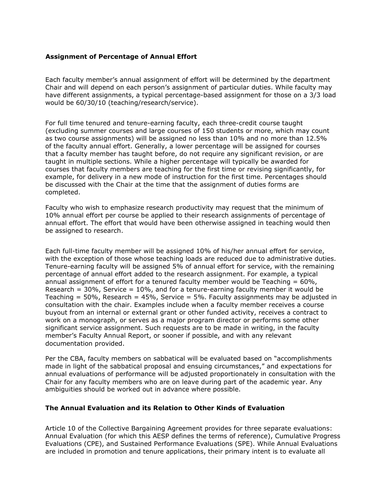#### **Assignment of Percentage of Annual Effort**

Each faculty member's annual assignment of effort will be determined by the department Chair and will depend on each person's assignment of particular duties. While faculty may have different assignments, a typical percentage-based assignment for those on a 3/3 load would be 60/30/10 (teaching/research/service).

For full time tenured and tenure-earning faculty, each three-credit course taught (excluding summer courses and large courses of 150 students or more, which may count as two course assignments) will be assigned no less than 10% and no more than 12.5% of the faculty annual effort. Generally, a lower percentage will be assigned for courses that a faculty member has taught before, do not require any significant revision, or are taught in multiple sections. While a higher percentage will typically be awarded for courses that faculty members are teaching for the first time or revising significantly, for example, for delivery in a new mode of instruction for the first time. Percentages should be discussed with the Chair at the time that the assignment of duties forms are completed.

Faculty who wish to emphasize research productivity may request that the minimum of 10% annual effort per course be applied to their research assignments of percentage of annual effort. The effort that would have been otherwise assigned in teaching would then be assigned to research.

Each full-time faculty member will be assigned 10% of his/her annual effort for service, with the exception of those whose teaching loads are reduced due to administrative duties. Tenure-earning faculty will be assigned 5% of annual effort for service, with the remaining percentage of annual effort added to the research assignment. For example, a typical annual assignment of effort for a tenured faculty member would be Teaching  $= 60\%$ , Research =  $30\%$ , Service =  $10\%$ , and for a tenure-earning faculty member it would be Teaching  $= 50\%$ , Research  $= 45\%$ , Service  $= 5\%$ . Faculty assignments may be adjusted in consultation with the chair. Examples include when a faculty member receives a course buyout from an internal or external grant or other funded activity, receives a contract to work on a monograph, or serves as a major program director or performs some other significant service assignment. Such requests are to be made in writing, in the faculty member's Faculty Annual Report, or sooner if possible, and with any relevant documentation provided.

Per the CBA, faculty members on sabbatical will be evaluated based on "accomplishments made in light of the sabbatical proposal and ensuing circumstances," and expectations for annual evaluations of performance will be adjusted proportionately in consultation with the Chair for any faculty members who are on leave during part of the academic year. Any ambiguities should be worked out in advance where possible.

#### **The Annual Evaluation and its Relation to Other Kinds of Evaluation**

Article 10 of the Collective Bargaining Agreement provides for three separate evaluations: Annual Evaluation (for which this AESP defines the terms of reference), Cumulative Progress Evaluations (CPE), and Sustained Performance Evaluations (SPE). While Annual Evaluations are included in promotion and tenure applications, their primary intent is to evaluate all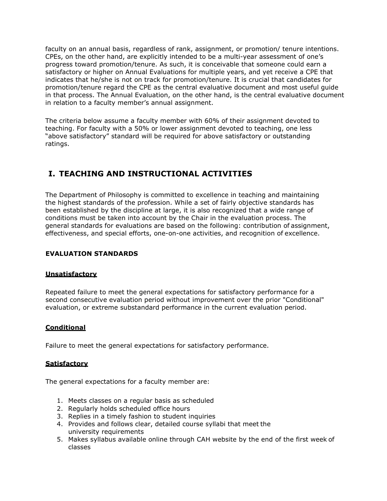faculty on an annual basis, regardless of rank, assignment, or promotion/ tenure intentions. CPEs, on the other hand, are explicitly intended to be a multi-year assessment of one's progress toward promotion/tenure. As such, it is conceivable that someone could earn a satisfactory or higher on Annual Evaluations for multiple years, and yet receive a CPE that indicates that he/she is not on track for promotion/tenure. It is crucial that candidates for promotion/tenure regard the CPE as the central evaluative document and most useful guide in that process. The Annual Evaluation, on the other hand, is the central evaluative document in relation to a faculty member's annual assignment.

The criteria below assume a faculty member with 60% of their assignment devoted to teaching. For faculty with a 50% or lower assignment devoted to teaching, one less "above satisfactory" standard will be required for above satisfactory or outstanding ratings.

### **I. TEACHING AND INSTRUCTIONAL ACTIVITIES**

The Department of Philosophy is committed to excellence in teaching and maintaining the highest standards of the profession. While a set of fairly objective standards has been established by the discipline at large, it is also recognized that a wide range of conditions must be taken into account by the Chair in the evaluation process. The general standards for evaluations are based on the following: contribution of assignment, effectiveness, and special efforts, one-on-one activities, and recognition of excellence.

### **EVALUATION STANDARDS**

### **Unsatisfactory**

Repeated failure to meet the general expectations for satisfactory performance for a second consecutive evaluation period without improvement over the prior "Conditional" evaluation, or extreme substandard performance in the current evaluation period.

#### **Conditional**

Failure to meet the general expectations for satisfactory performance.

#### **Satisfactory**

The general expectations for a faculty member are:

- 1. Meets classes on a regular basis as scheduled
- 2. Regularly holds scheduled office hours
- 3. Replies in a timely fashion to student inquiries
- 4. Provides and follows clear, detailed course syllabi that meet the university requirements
- 5. Makes syllabus available online through CAH website by the end of the first week of classes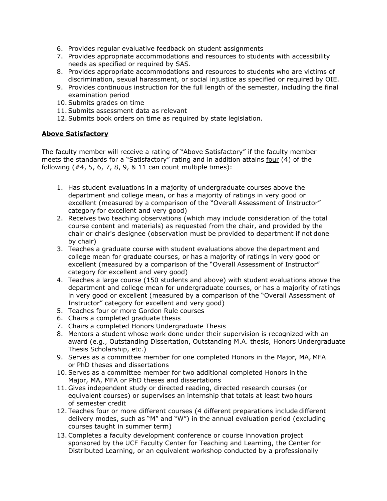- 6. Provides regular evaluative feedback on student assignments
- 7. Provides appropriate accommodations and resources to students with accessibility needs as specified or required by SAS.
- 8. Provides appropriate accommodations and resources to students who are victims of discrimination, sexual harassment, or social injustice as specified or required by OIE.
- 9. Provides continuous instruction for the full length of the semester, including the final examination period
- 10. Submits grades on time
- 11. Submits assessment data as relevant
- 12. Submits book orders on time as required by state legislation.

### **Above Satisfactory**

The faculty member will receive a rating of "Above Satisfactory" if the faculty member meets the standards for a "Satisfactory" rating and in addition attains four (4) of the following  $(#4, 5, 6, 7, 8, 9, 8, 11$  can count multiple times):

- 1. Has student evaluations in a majority of undergraduate courses above the department and college mean, or has a majority of ratings in very good or excellent (measured by a comparison of the "Overall Assessment of Instructor" category for excellent and very good)
- 2. Receives two teaching observations (which may include consideration of the total course content and materials) as requested from the chair, and provided by the chair or chair's designee (observation must be provided to department if not done by chair)
- 3. Teaches a graduate course with student evaluations above the department and college mean for graduate courses, or has a majority of ratings in very good or excellent (measured by a comparison of the "Overall Assessment of Instructor" category for excellent and very good)
- 4. Teaches a large course (150 students and above) with student evaluations above the department and college mean for undergraduate courses, or has a majority of ratings in very good or excellent (measured by a comparison of the "Overall Assessment of Instructor" category for excellent and very good)
- 5. Teaches four or more Gordon Rule courses
- 6. Chairs a completed graduate thesis
- 7. Chairs a completed Honors Undergraduate Thesis
- 8. Mentors a student whose work done under their supervision is recognized with an award (e.g., Outstanding Dissertation, Outstanding M.A. thesis, Honors Undergraduate Thesis Scholarship, etc.)
- 9. Serves as a committee member for one completed Honors in the Major, MA, MFA or PhD theses and dissertations
- 10. Serves as a committee member for two additional completed Honors in the Major, MA, MFA or PhD theses and dissertations
- 11. Gives independent study or directed reading, directed research courses (or equivalent courses) or supervises an internship that totals at least two hours of semester credit
- 12. Teaches four or more different courses (4 different preparations include different delivery modes, such as "M" and "W") in the annual evaluation period (excluding courses taught in summer term)
- 13. Completes a faculty development conference or course innovation project sponsored by the UCF Faculty Center for Teaching and Learning, the Center for Distributed Learning, or an equivalent workshop conducted by a professionally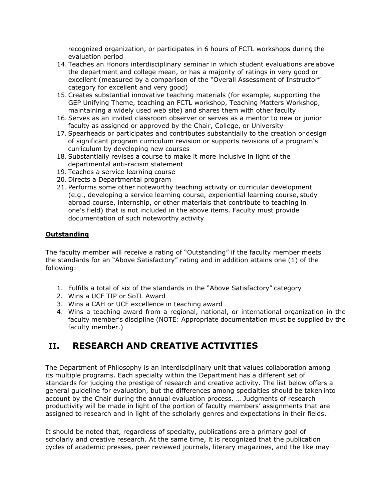recognized organization, or participates in 6 hours of FCTL workshops during the evaluation period

- 14. Teaches an Honors interdisciplinary seminar in which student evaluations are above the department and college mean, or has a majority of ratings in very good or excellent (measured by a comparison of the "Overall Assessment of Instructor" category for excellent and very good)
- 15. Creates substantial innovative teaching materials (for example, supporting the GEP Unifying Theme, teaching an FCTL workshop, Teaching Matters Workshop, maintaining a widely used web site) and shares them with other faculty
- 16. Serves as an invited classroom observer or serves as a mentor to new or junior faculty as assigned or approved by the Chair, College, or University
- 17. Spearheads or participates and contributes substantially to the creation or design of significant program curriculum revision or supports revisions of a program's curriculum by developing new courses
- 18. Substantially revises a course to make it more inclusive in light of the departmental anti-racism statement
- 19. Teaches a service learning course
- 20. Directs a Departmental program
- 21. Performs some other noteworthy teaching activity or curricular development (e.g., developing a service learning course, experiential learning course, study abroad course, internship, or other materials that contribute to teaching in one's field) that is not included in the above items. Faculty must provide documentation of such noteworthy activity

### **Outstanding**

The faculty member will receive a rating of "Outstanding" if the faculty member meets the standards for an "Above Satisfactory" rating and in addition attains one (1) of the following:

- 1. Fulfills a total of six of the standards in the "Above Satisfactory" category
- 2. Wins a UCF TIP or SoTL Award
- 3. Wins a CAH or UCF excellence in teaching award
- 4. Wins a teaching award from a regional, national, or international organization in the faculty member's discipline (NOTE: Appropriate documentation must be supplied by the faculty member.)

### **II. RESEARCH AND CREATIVE ACTIVITIES**

The Department of Philosophy is an interdisciplinary unit that values collaboration among its multiple programs. Each specialty within the Department has a different set of standards for judging the prestige of research and creative activity. The list below offers a general guideline for evaluation, but the differences among specialties should be taken into account by the Chair during the annual evaluation process. … Judgments of research productivity will be made in light of the portion of faculty members' assignments that are assigned to research and in light of the scholarly genres and expectations in their fields.

It should be noted that, regardless of specialty, publications are a primary goal of scholarly and creative research. At the same time, it is recognized that the publication cycles of academic presses, peer reviewed journals, literary magazines, and the like may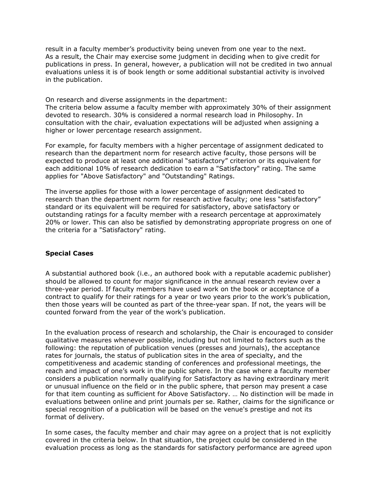result in a faculty member's productivity being uneven from one year to the next. As a result, the Chair may exercise some judgment in deciding when to give credit for publications in press. In general, however, a publication will not be credited in two annual evaluations unless it is of book length or some additional substantial activity is involved in the publication.

On research and diverse assignments in the department:

The criteria below assume a faculty member with approximately 30% of their assignment devoted to research. 30% is considered a normal research load in Philosophy. In consultation with the chair, evaluation expectations will be adjusted when assigning a higher or lower percentage research assignment.

For example, for faculty members with a higher percentage of assignment dedicated to research than the department norm for research active faculty, those persons will be expected to produce at least one additional "satisfactory" criterion or its equivalent for each additional 10% of research dedication to earn a "Satisfactory" rating. The same applies for "Above Satisfactory" and "Outstanding" Ratings.

The inverse applies for those with a lower percentage of assignment dedicated to research than the department norm for research active faculty; one less "satisfactory" standard or its equivalent will be required for satisfactory, above satisfactory or outstanding ratings for a faculty member with a research percentage at approximately 20% or lower. This can also be satisfied by demonstrating appropriate progress on one of the criteria for a "Satisfactory" rating.

#### **Special Cases**

A substantial authored book (i.e., an authored book with a reputable academic publisher) should be allowed to count for major significance in the annual research review over a three-year period. If faculty members have used work on the book or acceptance of a contract to qualify for their ratings for a year or two years prior to the work's publication, then those years will be counted as part of the three-year span. If not, the years will be counted forward from the year of the work's publication.

In the evaluation process of research and scholarship, the Chair is encouraged to consider qualitative measures whenever possible, including but not limited to factors such as the following: the reputation of publication venues (presses and journals), the acceptance rates for journals, the status of publication sites in the area of specialty, and the competitiveness and academic standing of conferences and professional meetings, the reach and impact of one's work in the public sphere. In the case where a faculty member considers a publication normally qualifying for Satisfactory as having extraordinary merit or unusual influence on the field or in the public sphere, that person may present a case for that item counting as sufficient for Above Satisfactory. … No distinction will be made in evaluations between online and print journals per se. Rather, claims for the significance or special recognition of a publication will be based on the venue's prestige and not its format of delivery.

In some cases, the faculty member and chair may agree on a project that is not explicitly covered in the criteria below. In that situation, the project could be considered in the evaluation process as long as the standards for satisfactory performance are agreed upon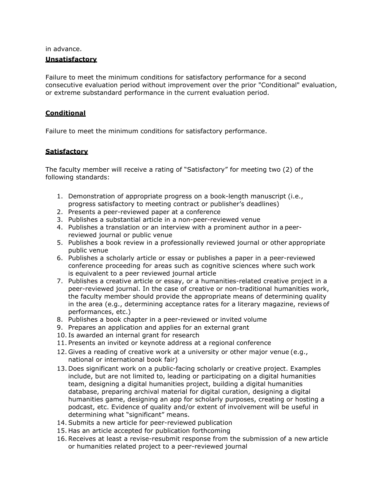in advance.

#### **Unsatisfactory**

Failure to meet the minimum conditions for satisfactory performance for a second consecutive evaluation period without improvement over the prior "Conditional" evaluation, or extreme substandard performance in the current evaluation period.

### **Conditional**

Failure to meet the minimum conditions for satisfactory performance.

#### **Satisfactory**

The faculty member will receive a rating of "Satisfactory" for meeting two (2) of the following standards:

- 1. Demonstration of appropriate progress on a book-length manuscript (i.e., progress satisfactory to meeting contract or publisher's deadlines)
- 2. Presents a peer-reviewed paper at a conference
- 3. Publishes a substantial article in a non-peer-reviewed venue
- 4. Publishes a translation or an interview with a prominent author in a peerreviewed journal or public venue
- 5. Publishes a book review in a professionally reviewed journal or other appropriate public venue
- 6. Publishes a scholarly article or essay or publishes a paper in a peer-reviewed conference proceeding for areas such as cognitive sciences where such work is equivalent to a peer reviewed journal article
- 7. Publishes a creative article or essay, or a humanities-related creative project in a peer-reviewed journal. In the case of creative or non-traditional humanities work, the faculty member should provide the appropriate means of determining quality in the area (e.g., determining acceptance rates for a literary magazine, reviews of performances, etc.)
- 8. Publishes a book chapter in a peer-reviewed or invited volume
- 9. Prepares an application and applies for an external grant
- 10. Is awarded an internal grant for research
- 11. Presents an invited or keynote address at a regional conference
- 12. Gives a reading of creative work at a university or other major venue (e.g., national or international book fair)
- 13. Does significant work on a public-facing scholarly or creative project. Examples include, but are not limited to, leading or participating on a digital humanities team, designing a digital humanities project, building a digital humanities database, preparing archival material for digital curation, designing a digital humanities game, designing an app for scholarly purposes, creating or hosting a podcast, etc. Evidence of quality and/or extent of involvement will be useful in determining what "significant" means.
- 14. Submits a new article for peer-reviewed publication
- 15. Has an article accepted for publication forthcoming
- 16. Receives at least a revise-resubmit response from the submission of a new article or humanities related project to a peer-reviewed journal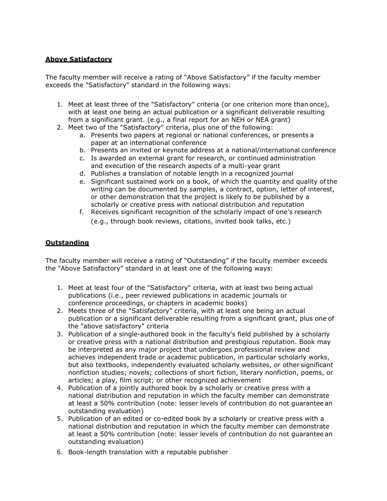#### **Above Satisfactory**

The faculty member will receive a rating of "Above Satisfactory" if the faculty member exceeds the "Satisfactory" standard in the following ways:

- 1. Meet at least three of the "Satisfactory" criteria (or one criterion more than once), with at least one being an actual publication or a significant deliverable resulting from a significant grant. (e.g., a final report for an NEH or NEA grant)
- 2. Meet two of the "Satisfactory" criteria, plus one of the following:
	- a. Presents two papers at regional or national conferences, or presents a paper at an international conference
	- b. Presents an invited or keynote address at a national/international conference
	- c. Is awarded an external grant for research, or continued administration and execution of the research aspects of a multi-year grant
	- d. Publishes a translation of notable length in a recognized journal
	- e. Significant sustained work on a book, of which the quantity and quality of the writing can be documented by samples, a contract, option, letter of interest, or other demonstration that the project is likely to be published by a scholarly or creative press with national distribution and reputation
	- f. Receives significant recognition of the scholarly impact of one's research (e.g., through book reviews, citations, invited book talks, etc.)

#### **Outstanding**

The faculty member will receive a rating of "Outstanding" if the faculty member exceeds the "Above Satisfactory" standard in at least one of the following ways:

- 1. Meet at least four of the "Satisfactory" criteria, with at least two being actual publications (i.e., peer reviewed publications in academic journals or conference proceedings, or chapters in academic books)
- 2. Meets three of the "Satisfactory" criteria, with at least one being an actual publication or a significant deliverable resulting from a significant grant, plus one of the "above satisfactory" criteria
- 3. Publication of a single-authored book in the faculty's field published by a scholarly or creative press with a national distribution and prestigious reputation. Book may be interpreted as any major project that undergoes professional review and achieves independent trade or academic publication, in particular scholarly works, but also textbooks, independently evaluated scholarly websites, or other significant nonfiction studies; novels; collections of short fiction, literary nonfiction, poems, or articles; a play, film script; or other recognized achievement
- 4. Publication of a jointly authored book by a scholarly or creative press with a national distribution and reputation in which the faculty member can demonstrate at least a 50% contribution (note: lesser levels of contribution do not guarantee an outstanding evaluation)
- 5. Publication of an edited or co-edited book by a scholarly or creative press with a national distribution and reputation in which the faculty member can demonstrate at least a 50% contribution (note: lesser levels of contribution do not guarantee an outstanding evaluation)
- 6. Book-length translation with a reputable publisher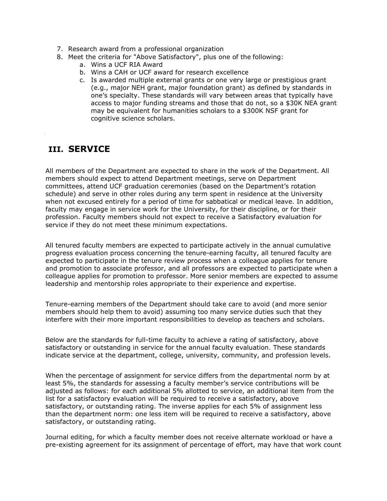- 7. Research award from a professional organization
- 8. Meet the criteria for "Above Satisfactory", plus one of the following:
	- a. Wins a UCF RIA Award
	- b. Wins a CAH or UCF award for research excellence
	- c. Is awarded multiple external grants or one very large or prestigious grant (e.g., major NEH grant, major foundation grant) as defined by standards in one's specialty. These standards will vary between areas that typically have access to major funding streams and those that do not, so a \$30K NEA grant may be equivalent for humanities scholars to a \$300K NSF grant for cognitive science scholars.

### **III. SERVICE**

All members of the Department are expected to share in the work of the Department. All members should expect to attend Department meetings, serve on Department committees, attend UCF graduation ceremonies (based on the Department's rotation schedule) and serve in other roles during any term spent in residence at the University when not excused entirely for a period of time for sabbatical or medical leave. In addition, faculty may engage in service work for the University, for their discipline, or for their profession. Faculty members should not expect to receive a Satisfactory evaluation for service if they do not meet these minimum expectations.

All tenured faculty members are expected to participate actively in the annual cumulative progress evaluation process concerning the tenure-earning faculty, all tenured faculty are expected to participate in the tenure review process when a colleague applies for tenure and promotion to associate professor, and all professors are expected to participate when a colleague applies for promotion to professor. More senior members are expected to assume leadership and mentorship roles appropriate to their experience and expertise.

Tenure-earning members of the Department should take care to avoid (and more senior members should help them to avoid) assuming too many service duties such that they interfere with their more important responsibilities to develop as teachers and scholars.

Below are the standards for full-time faculty to achieve a rating of satisfactory, above satisfactory or outstanding in service for the annual faculty evaluation. These standards indicate service at the department, college, university, community, and profession levels.

When the percentage of assignment for service differs from the departmental norm by at least 5%, the standards for assessing a faculty member's service contributions will be adjusted as follows: for each additional 5% allotted to service, an additional item from the list for a satisfactory evaluation will be required to receive a satisfactory, above satisfactory, or outstanding rating. The inverse applies for each 5% of assignment less than the department norm: one less item will be required to receive a satisfactory, above satisfactory, or outstanding rating.

Journal editing, for which a faculty member does not receive alternate workload or have a pre-existing agreement for its assignment of percentage of effort, may have that work count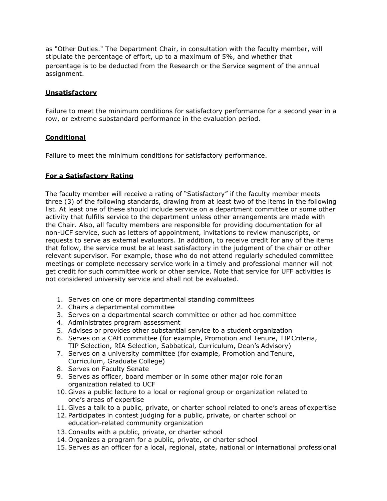as "Other Duties." The Department Chair, in consultation with the faculty member, will stipulate the percentage of effort, up to a maximum of 5%, and whether that percentage is to be deducted from the Research or the Service segment of the annual assignment.

### **Unsatisfactory**

Failure to meet the minimum conditions for satisfactory performance for a second year in a row, or extreme substandard performance in the evaluation period.

#### **Conditional**

Failure to meet the minimum conditions for satisfactory performance.

#### **For a Satisfactory Rating**

The faculty member will receive a rating of "Satisfactory" if the faculty member meets three (3) of the following standards, drawing from at least two of the items in the following list. At least one of these should include service on a department committee or some other activity that fulfills service to the department unless other arrangements are made with the Chair. Also, all faculty members are responsible for providing documentation for all non-UCF service, such as letters of appointment, invitations to review manuscripts, or requests to serve as external evaluators. In addition, to receive credit for any of the items that follow, the service must be at least satisfactory in the judgment of the chair or other relevant supervisor. For example, those who do not attend regularly scheduled committee meetings or complete necessary service work in a timely and professional manner will not get credit for such committee work or other service. Note that service for UFF activities is not considered university service and shall not be evaluated.

- 1. Serves on one or more departmental standing committees
- 2. Chairs a departmental committee
- 3. Serves on a departmental search committee or other ad hoc committee
- 4. Administrates program assessment
- 5. Advises or provides other substantial service to a student organization
- 6. Serves on a CAH committee (for example, Promotion and Tenure, TIPCriteria, TIP Selection, RIA Selection, Sabbatical, Curriculum, Dean's Advisory)
- 7. Serves on a university committee (for example, Promotion and Tenure, Curriculum, Graduate College)
- 8. Serves on Faculty Senate
- 9. Serves as officer, board member or in some other major role for an organization related to UCF
- 10. Gives a public lecture to a local or regional group or organization related to one's areas of expertise
- 11. Gives a talk to a public, private, or charter school related to one's areas of expertise
- 12. Participates in contest judging for a public, private, or charter school or education-related community organization
- 13. Consults with a public, private, or charter school
- 14. Organizes a program for a public, private, or charter school
- 15. Serves as an officer for a local, regional, state, national or international professional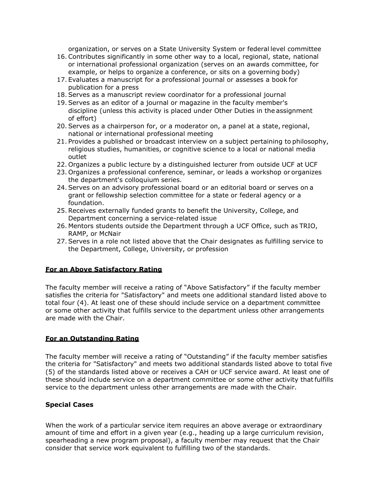organization, or serves on a State University System or federal level committee

- 16. Contributes significantly in some other way to a local, regional, state, national or international professional organization (serves on an awards committee, for example, or helps to organize a conference, or sits on a governing body)
- 17. Evaluates a manuscript for a professional journal or assesses a book for publication for a press
- 18. Serves as a manuscript review coordinator for a professional journal
- 19. Serves as an editor of a journal or magazine in the faculty member's discipline (unless this activity is placed under Other Duties in the assignment of effort)
- 20. Serves as a chairperson for, or a moderator on, a panel at a state, regional, national or international professional meeting
- 21. Provides a published or broadcast interview on a subject pertaining to philosophy, religious studies, humanities, or cognitive science to a local or national media outlet
- 22. Organizes a public lecture by a distinguished lecturer from outside UCF at UCF
- 23. Organizes a professional conference, seminar, or leads a workshop or organizes the department's colloquium series.
- 24. Serves on an advisory professional board or an editorial board or serves on a grant or fellowship selection committee for a state or federal agency or a foundation.
- 25. Receives externally funded grants to benefit the University, College, and Department concerning a service-related issue
- 26. Mentors students outside the Department through a UCF Office, such as TRIO, RAMP, or McNair
- 27. Serves in a role not listed above that the Chair designates as fulfilling service to the Department, College, University, or profession

### **For an Above Satisfactory Rating**

The faculty member will receive a rating of "Above Satisfactory" if the faculty member satisfies the criteria for "Satisfactory" and meets one additional standard listed above to total four (4). At least one of these should include service on a department committee or some other activity that fulfills service to the department unless other arrangements are made with the Chair.

#### **For an Outstanding Rating**

The faculty member will receive a rating of "Outstanding" if the faculty member satisfies the criteria for "Satisfactory" and meets two additional standards listed above to total five (5) of the standards listed above or receives a CAH or UCF service award. At least one of these should include service on a department committee or some other activity thatfulfills service to the department unless other arrangements are made with the Chair.

#### **Special Cases**

When the work of a particular service item requires an above average or extraordinary amount of time and effort in a given year (e.g., heading up a large curriculum revision, spearheading a new program proposal), a faculty member may request that the Chair consider that service work equivalent to fulfilling two of the standards.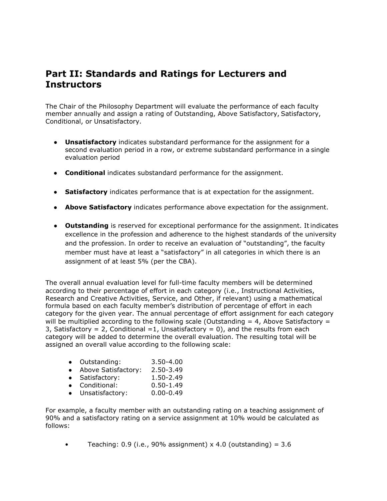## **Part II: Standards and Ratings for Lecturers and Instructors**

The Chair of the Philosophy Department will evaluate the performance of each faculty member annually and assign a rating of Outstanding, Above Satisfactory, Satisfactory, Conditional, or Unsatisfactory.

- **Unsatisfactory** indicates substandard performance for the assignment for a second evaluation period in a row, or extreme substandard performance in a single evaluation period
- **Conditional** indicates substandard performance for the assignment.
- **Satisfactory** indicates performance that is at expectation for the assignment.
- **Above Satisfactory** indicates performance above expectation for the assignment.
- **Outstanding** is reserved for exceptional performance for the assignment. Itindicates excellence in the profession and adherence to the highest standards of the university and the profession. In order to receive an evaluation of "outstanding", the faculty member must have at least a "satisfactory" in all categories in which there is an assignment of at least 5% (per the CBA).

The overall annual evaluation level for full-time faculty members will be determined according to their percentage of effort in each category (i.e., Instructional Activities, Research and Creative Activities, Service, and Other, if relevant) using a mathematical formula based on each faculty member's distribution of percentage of effort in each category for the given year. The annual percentage of effort assignment for each category will be multiplied according to the following scale (Outstanding  $= 4$ , Above Satisfactory  $=$ 3, Satisfactory = 2, Conditional =1, Unsatisfactory =  $0$ ), and the results from each category will be added to determine the overall evaluation. The resulting total will be assigned an overall value according to the following scale:

|  | Outstanding: | $3.50 - 4.00$ |
|--|--------------|---------------|
|--|--------------|---------------|

- Above Satisfactory: 2.50-3.49
- Satisfactory: 1.50-2.49
- Conditional: 0.50-1.49
- Unsatisfactory: 0.00-0.49

For example, a faculty member with an outstanding rating on a teaching assignment of 90% and a satisfactory rating on a service assignment at 10% would be calculated as follows:

• Teaching:  $0.9$  (i.e.,  $90\%$  assignment) x 4.0 (outstanding) = 3.6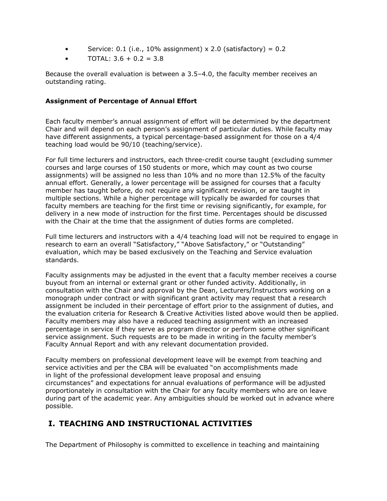- Service:  $0.1$  (i.e.,  $10\%$  assignment) x 2.0 (satisfactory) =  $0.2$
- TOTAL:  $3.6 + 0.2 = 3.8$

Because the overall evaluation is between a 3.5–4.0, the faculty member receives an outstanding rating.

#### **Assignment of Percentage of Annual Effort**

Each faculty member's annual assignment of effort will be determined by the department Chair and will depend on each person's assignment of particular duties. While faculty may have different assignments, a typical percentage-based assignment for those on a 4/4 teaching load would be 90/10 (teaching/service).

For full time lecturers and instructors, each three-credit course taught (excluding summer courses and large courses of 150 students or more, which may count as two course assignments) will be assigned no less than 10% and no more than 12.5% of the faculty annual effort. Generally, a lower percentage will be assigned for courses that a faculty member has taught before, do not require any significant revision, or are taught in multiple sections. While a higher percentage will typically be awarded for courses that faculty members are teaching for the first time or revising significantly, for example, for delivery in a new mode of instruction for the first time. Percentages should be discussed with the Chair at the time that the assignment of duties forms are completed.

Full time lecturers and instructors with a 4/4 teaching load will not be required to engage in research to earn an overall "Satisfactory," "Above Satisfactory," or "Outstanding" evaluation, which may be based exclusively on the Teaching and Service evaluation standards.

Faculty assignments may be adjusted in the event that a faculty member receives a course buyout from an internal or external grant or other funded activity. Additionally, in consultation with the Chair and approval by the Dean, Lecturers/Instructors working on a monograph under contract or with significant grant activity may request that a research assignment be included in their percentage of effort prior to the assignment of duties, and the evaluation criteria for Research & Creative Activities listed above would then be applied. Faculty members may also have a reduced teaching assignment with an increased percentage in service if they serve as program director or perform some other significant service assignment. Such requests are to be made in writing in the faculty member's Faculty Annual Report and with any relevant documentation provided.

Faculty members on professional development leave will be exempt from teaching and service activities and per the CBA will be evaluated "on accomplishments made in light of the professional development leave proposal and ensuing circumstances" and expectations for annual evaluations of performance will be adjusted proportionately in consultation with the Chair for any faculty members who are on leave during part of the academic year. Any ambiguities should be worked out in advance where possible.

### **I. TEACHING AND INSTRUCTIONAL ACTIVITIES**

The Department of Philosophy is committed to excellence in teaching and maintaining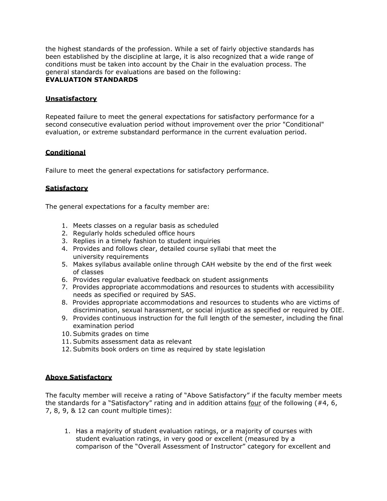the highest standards of the profession. While a set of fairly objective standards has been established by the discipline at large, it is also recognized that a wide range of conditions must be taken into account by the Chair in the evaluation process. The general standards for evaluations are based on the following: **EVALUATION STANDARDS**

#### **Unsatisfactory**

Repeated failure to meet the general expectations for satisfactory performance for a second consecutive evaluation period without improvement over the prior "Conditional" evaluation, or extreme substandard performance in the current evaluation period.

#### **Conditional**

Failure to meet the general expectations for satisfactory performance.

#### **Satisfactory**

The general expectations for a faculty member are:

- 1. Meets classes on a regular basis as scheduled
- 2. Regularly holds scheduled office hours
- 3. Replies in a timely fashion to student inquiries
- 4. Provides and follows clear, detailed course syllabi that meet the university requirements
- 5. Makes syllabus available online through CAH website by the end of the first week of classes
- 6. Provides regular evaluative feedback on student assignments
- 7. Provides appropriate accommodations and resources to students with accessibility needs as specified or required by SAS.
- 8. Provides appropriate accommodations and resources to students who are victims of discrimination, sexual harassment, or social injustice as specified or required by OIE.
- 9. Provides continuous instruction for the full length of the semester, including the final examination period
- 10. Submits grades on time
- 11. Submits assessment data as relevant
- 12. Submits book orders on time as required by state legislation

#### **Above Satisfactory**

The faculty member will receive a rating of "Above Satisfactory" if the faculty member meets the standards for a "Satisfactory" rating and in addition attains four of the following  $(#4, 6, ...)$ 7, 8, 9, & 12 can count multiple times):

1. Has a majority of student evaluation ratings, or a majority of courses with student evaluation ratings, in very good or excellent (measured by a comparison of the "Overall Assessment of Instructor" category for excellent and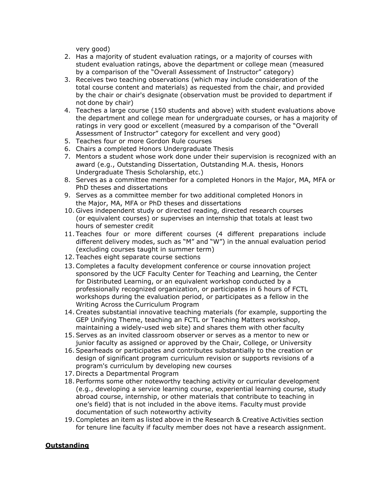very good)

- 2. Has a majority of student evaluation ratings, or a majority of courses with student evaluation ratings, above the department or college mean (measured by a comparison of the "Overall Assessment of Instructor" category)
- 3. Receives two teaching observations (which may include consideration of the total course content and materials) as requested from the chair, and provided by the chair or chair's designate (observation must be provided to department if not done by chair)
- 4. Teaches a large course (150 students and above) with student evaluations above the department and college mean for undergraduate courses, or has a majority of ratings in very good or excellent (measured by a comparison of the "Overall Assessment of Instructor" category for excellent and very good)
- 5. Teaches four or more Gordon Rule courses
- 6. Chairs a completed Honors Undergraduate Thesis
- 7. Mentors a student whose work done under their supervision is recognized with an award (e.g., Outstanding Dissertation, Outstanding M.A. thesis, Honors Undergraduate Thesis Scholarship, etc.)
- 8. Serves as a committee member for a completed Honors in the Major, MA, MFA or PhD theses and dissertations
- 9. Serves as a committee member for two additional completed Honors in the Major, MA, MFA or PhD theses and dissertations
- 10. Gives independent study or directed reading, directed research courses (or equivalent courses) or supervises an internship that totals at least two hours of semester credit
- 11. Teaches four or more different courses (4 different preparations include different delivery modes, such as "M" and "W") in the annual evaluation period (excluding courses taught in summer term)
- 12. Teaches eight separate course sections
- 13. Completes a faculty development conference or course innovation project sponsored by the UCF Faculty Center for Teaching and Learning, the Center for Distributed Learning, or an equivalent workshop conducted by a professionally recognized organization, or participates in 6 hours of FCTL workshops during the evaluation period, or participates as a fellow in the Writing Across the Curriculum Program
- 14. Creates substantial innovative teaching materials (for example, supporting the GEP Unifying Theme, teaching an FCTL or Teaching Matters workshop, maintaining a widely-used web site) and shares them with other faculty
- 15. Serves as an invited classroom observer or serves as a mentor to new or junior faculty as assigned or approved by the Chair, College, or University
- 16. Spearheads or participates and contributes substantially to the creation or design of significant program curriculum revision or supports revisions of a program's curriculum by developing new courses
- 17. Directs a Departmental Program
- 18. Performs some other noteworthy teaching activity or curricular development (e.g., developing a service learning course, experiential learning course, study abroad course, internship, or other materials that contribute to teaching in one's field) that is not included in the above items. Faculty must provide documentation of such noteworthy activity
- 19. Completes an item as listed above in the Research & Creative Activities section for tenure line faculty if faculty member does not have a research assignment.

#### **Outstanding**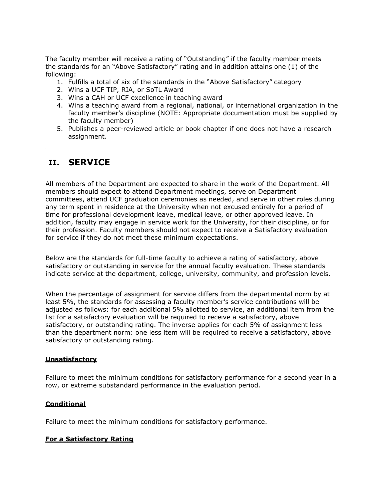The faculty member will receive a rating of "Outstanding" if the faculty member meets the standards for an "Above Satisfactory" rating and in addition attains one (1) of the following:

- 1. Fulfills a total of six of the standards in the "Above Satisfactory" category
- 2. Wins a UCF TIP, RIA, or SoTL Award
- 3. Wins a CAH or UCF excellence in teaching award
- 4. Wins a teaching award from a regional, national, or international organization in the faculty member's discipline (NOTE: Appropriate documentation must be supplied by the faculty member)
- 5. Publishes a peer-reviewed article or book chapter if one does not have a research assignment.

### **II. SERVICE**

All members of the Department are expected to share in the work of the Department. All members should expect to attend Department meetings, serve on Department committees, attend UCF graduation ceremonies as needed, and serve in other roles during any term spent in residence at the University when not excused entirely for a period of time for professional development leave, medical leave, or other approved leave. In addition, faculty may engage in service work for the University, for their discipline, or for their profession. Faculty members should not expect to receive a Satisfactory evaluation for service if they do not meet these minimum expectations.

Below are the standards for full-time faculty to achieve a rating of satisfactory, above satisfactory or outstanding in service for the annual faculty evaluation. These standards indicate service at the department, college, university, community, and profession levels.

When the percentage of assignment for service differs from the departmental norm by at least 5%, the standards for assessing a faculty member's service contributions will be adjusted as follows: for each additional 5% allotted to service, an additional item from the list for a satisfactory evaluation will be required to receive a satisfactory, above satisfactory, or outstanding rating. The inverse applies for each 5% of assignment less than the department norm: one less item will be required to receive a satisfactory, above satisfactory or outstanding rating.

#### **Unsatisfactory**

Failure to meet the minimum conditions for satisfactory performance for a second year in a row, or extreme substandard performance in the evaluation period.

#### **Conditional**

Failure to meet the minimum conditions for satisfactory performance.

#### **For a Satisfactory Rating**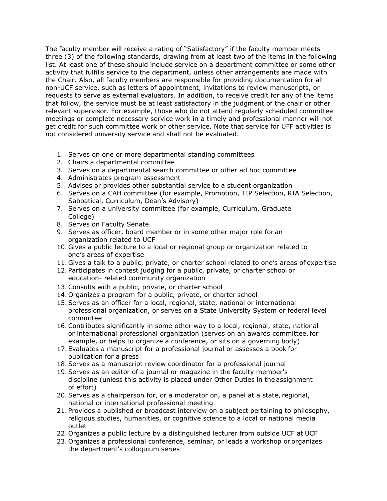The faculty member will receive a rating of "Satisfactory" if the faculty member meets three (3) of the following standards, drawing from at least two of the items in the following list. At least one of these should include service on a department committee or some other activity that fulfills service to the department, unless other arrangements are made with the Chair. Also, all faculty members are responsible for providing documentation for all non-UCF service, such as letters of appointment, invitations to review manuscripts, or requests to serve as external evaluators. In addition, to receive credit for any of the items that follow, the service must be at least satisfactory in the judgment of the chair or other relevant supervisor. For example, those who do not attend regularly scheduled committee meetings or complete necessary service work in a timely and professional manner will not get credit for such committee work or other service. Note that service for UFF activities is not considered university service and shall not be evaluated.

- 1. Serves on one or more departmental standing committees
- 2. Chairs a departmental committee
- 3. Serves on a departmental search committee or other ad hoc committee
- 4. Administrates program assessment
- 5. Advises or provides other substantial service to a student organization
- 6. Serves on a CAH committee (for example, Promotion, TIP Selection, RIA Selection, Sabbatical, Curriculum, Dean's Advisory)
- 7. Serves on a university committee (for example, Curriculum, Graduate College)
- 8. Serves on Faculty Senate
- 9. Serves as officer, board member or in some other major role for an organization related to UCF
- 10. Gives a public lecture to a local or regional group or organization related to one's areas of expertise
- 11. Gives a talk to a public, private, or charter school related to one's areas of expertise
- 12. Participates in contest judging for a public, private, or charter school or education- related community organization
- 13. Consults with a public, private, or charter school
- 14. Organizes a program for a public, private, or charter school
- 15. Serves as an officer for a local, regional, state, national or international professional organization, or serves on a State University System or federal level committee
- 16. Contributes significantly in some other way to a local, regional, state, national or international professional organization (serves on an awards committee, for example, or helps to organize a conference, or sits on a governing body)
- 17. Evaluates a manuscript for a professional journal or assesses a book for publication for a press
- 18. Serves as a manuscript review coordinator for a professional journal
- 19. Serves as an editor of a journal or magazine in the faculty member's discipline (unless this activity is placed under Other Duties in the assignment of effort)
- 20. Serves as a chairperson for, or a moderator on, a panel at a state, regional, national or international professional meeting
- 21. Provides a published or broadcast interview on a subject pertaining to philosophy, religious studies, humanities, or cognitive science to a local or national media outlet
- 22. Organizes a public lecture by a distinguished lecturer from outside UCF at UCF
- 23. Organizes a professional conference, seminar, or leads a workshop or organizes the department's colloquium series